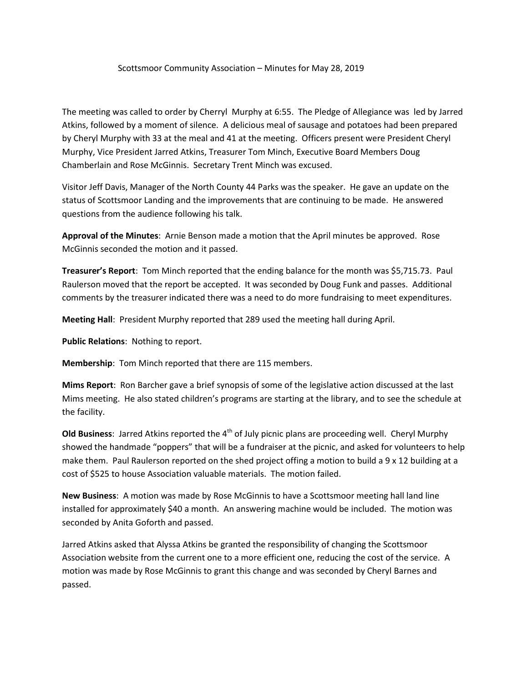## Scottsmoor Community Association – Minutes for May 28, 2019

The meeting was called to order by Cherryl Murphy at 6:55. The Pledge of Allegiance was led by Jarred Atkins, followed by a moment of silence. A delicious meal of sausage and potatoes had been prepared by Cheryl Murphy with 33 at the meal and 41 at the meeting. Officers present were President Cheryl Murphy, Vice President Jarred Atkins, Treasurer Tom Minch, Executive Board Members Doug Chamberlain and Rose McGinnis. Secretary Trent Minch was excused.

Visitor Jeff Davis, Manager of the North County 44 Parks was the speaker. He gave an update on the status of Scottsmoor Landing and the improvements that are continuing to be made. He answered questions from the audience following his talk.

**Approval of the Minutes**: Arnie Benson made a motion that the April minutes be approved. Rose McGinnis seconded the motion and it passed.

**Treasurer's Report**: Tom Minch reported that the ending balance for the month was \$5,715.73. Paul Raulerson moved that the report be accepted. It was seconded by Doug Funk and passes. Additional comments by the treasurer indicated there was a need to do more fundraising to meet expenditures.

**Meeting Hall**: President Murphy reported that 289 used the meeting hall during April.

**Public Relations**: Nothing to report.

**Membership**: Tom Minch reported that there are 115 members.

**Mims Report**: Ron Barcher gave a brief synopsis of some of the legislative action discussed at the last Mims meeting. He also stated children's programs are starting at the library, and to see the schedule at the facility.

**Old Business**: Jarred Atkins reported the 4<sup>th</sup> of July picnic plans are proceeding well. Cheryl Murphy showed the handmade "poppers" that will be a fundraiser at the picnic, and asked for volunteers to help make them. Paul Raulerson reported on the shed project offing a motion to build a 9 x 12 building at a cost of \$525 to house Association valuable materials. The motion failed.

**New Business**: A motion was made by Rose McGinnis to have a Scottsmoor meeting hall land line installed for approximately \$40 a month. An answering machine would be included. The motion was seconded by Anita Goforth and passed.

Jarred Atkins asked that Alyssa Atkins be granted the responsibility of changing the Scottsmoor Association website from the current one to a more efficient one, reducing the cost of the service. A motion was made by Rose McGinnis to grant this change and was seconded by Cheryl Barnes and passed.